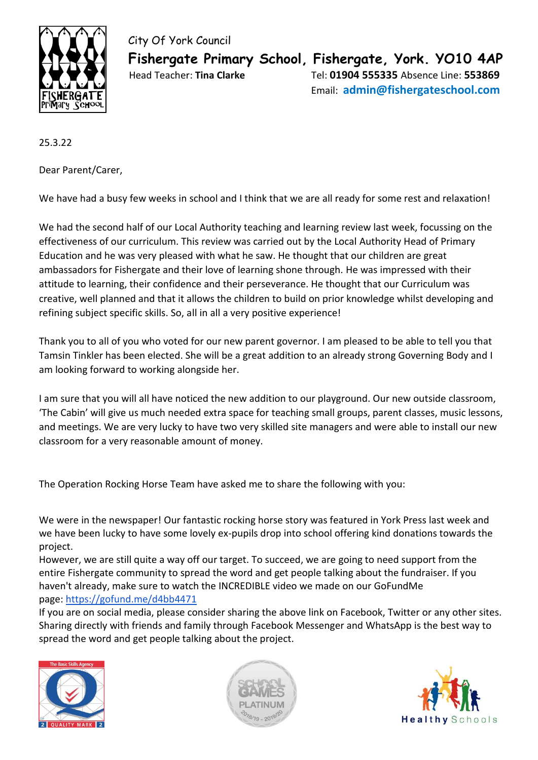

 City Of York Council  **Fishergate Primary School, Fishergate, York. YO10 4AP** Head Teacher: **Tina Clarke** Tel: **01904 555335** Absence Line: **553869** Email: **admin@fishergateschool.com**

25.3.22

Dear Parent/Carer,

We have had a busy few weeks in school and I think that we are all ready for some rest and relaxation!

We had the second half of our Local Authority teaching and learning review last week, focussing on the effectiveness of our curriculum. This review was carried out by the Local Authority Head of Primary Education and he was very pleased with what he saw. He thought that our children are great ambassadors for Fishergate and their love of learning shone through. He was impressed with their attitude to learning, their confidence and their perseverance. He thought that our Curriculum was creative, well planned and that it allows the children to build on prior knowledge whilst developing and refining subject specific skills. So, all in all a very positive experience!

Thank you to all of you who voted for our new parent governor. I am pleased to be able to tell you that Tamsin Tinkler has been elected. She will be a great addition to an already strong Governing Body and I am looking forward to working alongside her.

I am sure that you will all have noticed the new addition to our playground. Our new outside classroom, 'The Cabin' will give us much needed extra space for teaching small groups, parent classes, music lessons, and meetings. We are very lucky to have two very skilled site managers and were able to install our new classroom for a very reasonable amount of money.

The Operation Rocking Horse Team have asked me to share the following with you:

We were in the newspaper! Our fantastic rocking horse story was featured in York Press last week and we have been lucky to have some lovely ex-pupils drop into school offering kind donations towards the project.

However, we are still quite a way off our target. To succeed, we are going to need support from the entire Fishergate community to spread the word and get people talking about the fundraiser. If you haven't already, make sure to watch the INCREDIBLE video we made on our GoFundMe page: <https://gofund.me/d4bb4471>

If you are on social media, please consider sharing the above link on Facebook, Twitter or any other sites. Sharing directly with friends and family through Facebook Messenger and WhatsApp is the best way to spread the word and get people talking about the project.